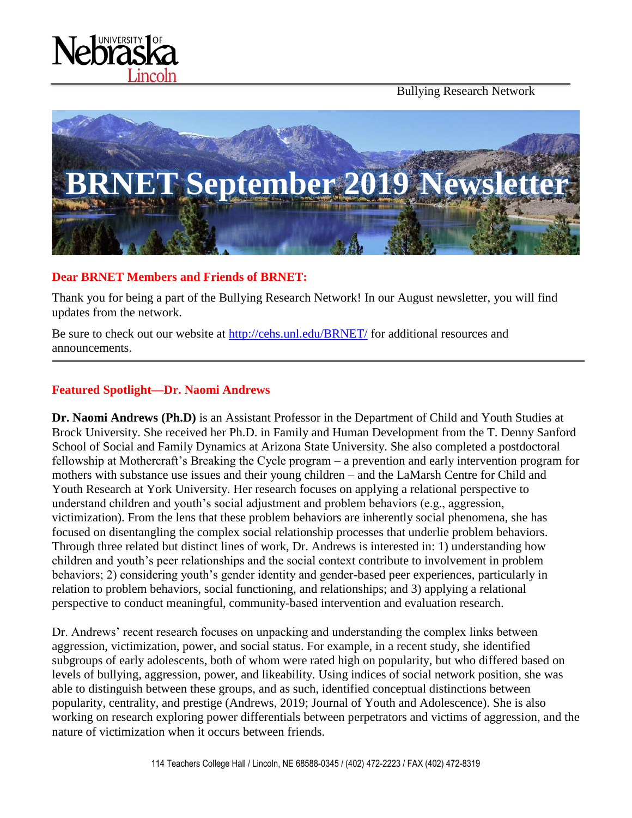Bullying Research Network





#### **Dear BRNET Members and Friends of BRNET:**

Thank you for being a part of the Bullying Research Network! In our August newsletter, you will find updates from the network.

Be sure to check out our website at<http://cehs.unl.edu/BRNET/> for additional resources and announcements.

#### **Featured Spotlight—Dr. Naomi Andrews**

**Dr. Naomi Andrews (Ph.D)** is an Assistant Professor in the Department of Child and Youth Studies at Brock University. She received her Ph.D. in Family and Human Development from the T. Denny Sanford School of Social and Family Dynamics at Arizona State University. She also completed a postdoctoral fellowship at Mothercraft's Breaking the Cycle program – a prevention and early intervention program for mothers with substance use issues and their young children – and the LaMarsh Centre for Child and Youth Research at York University. Her research focuses on applying a relational perspective to understand children and youth's social adjustment and problem behaviors (e.g., aggression, victimization). From the lens that these problem behaviors are inherently social phenomena, she has focused on disentangling the complex social relationship processes that underlie problem behaviors. Through three related but distinct lines of work, Dr. Andrews is interested in: 1) understanding how children and youth's peer relationships and the social context contribute to involvement in problem behaviors; 2) considering youth's gender identity and gender-based peer experiences, particularly in relation to problem behaviors, social functioning, and relationships; and 3) applying a relational perspective to conduct meaningful, community-based intervention and evaluation research.

Dr. Andrews' recent research focuses on unpacking and understanding the complex links between aggression, victimization, power, and social status. For example, in a recent study, she identified subgroups of early adolescents, both of whom were rated high on popularity, but who differed based on levels of bullying, aggression, power, and likeability. Using indices of social network position, she was able to distinguish between these groups, and as such, identified conceptual distinctions between popularity, centrality, and prestige (Andrews, 2019; Journal of Youth and Adolescence). She is also working on research exploring power differentials between perpetrators and victims of aggression, and the nature of victimization when it occurs between friends.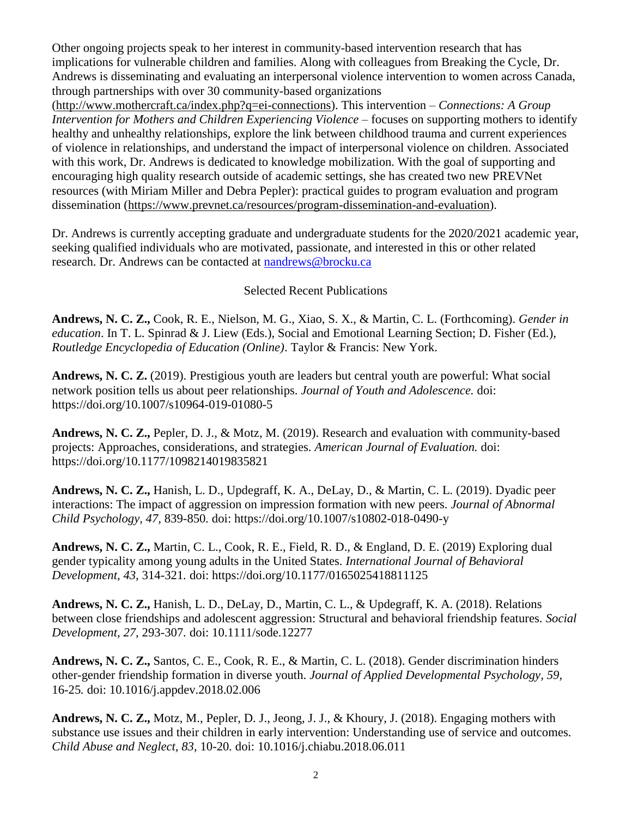Other ongoing projects speak to her interest in community-based intervention research that has implications for vulnerable children and families. Along with colleagues from Breaking the Cycle, Dr. Andrews is disseminating and evaluating an interpersonal violence intervention to women across Canada, through partnerships with over 30 community-based organizations

[\(http://www.mothercraft.ca/index.php?q=ei-connections\)](http://www.mothercraft.ca/index.php?q=ei-connections). This intervention – *Connections: A Group Intervention for Mothers and Children Experiencing Violence –* focuses on supporting mothers to identify healthy and unhealthy relationships, explore the link between childhood trauma and current experiences of violence in relationships, and understand the impact of interpersonal violence on children. Associated with this work, Dr. Andrews is dedicated to knowledge mobilization. With the goal of supporting and encouraging high quality research outside of academic settings, she has created two new PREVNet resources (with Miriam Miller and Debra Pepler): practical guides to program evaluation and program dissemination [\(https://www.prevnet.ca/resources/program-dissemination-and-evaluation\)](https://www.prevnet.ca/resources/program-dissemination-and-evaluation).

Dr. Andrews is currently accepting graduate and undergraduate students for the 2020/2021 academic year, seeking qualified individuals who are motivated, passionate, and interested in this or other related research. Dr. Andrews can be contacted at [nandrews@brocku.ca](mailto:nandrews@brocku.ca)

#### Selected Recent Publications

**Andrews, N. C. Z.,** Cook, R. E., Nielson, M. G., Xiao, S. X., & Martin, C. L. (Forthcoming). *Gender in education*. In T. L. Spinrad & J. Liew (Eds.), Social and Emotional Learning Section; D. Fisher (Ed.), *Routledge Encyclopedia of Education (Online)*. Taylor & Francis: New York.

**Andrews, N. C. Z.** (2019). Prestigious youth are leaders but central youth are powerful: What social network position tells us about peer relationships. *Journal of Youth and Adolescence.* doi: https://doi.org/10.1007/s10964-019-01080-5

**Andrews, N. C. Z.,** Pepler, D. J., & Motz, M. (2019). Research and evaluation with community-based projects: Approaches, considerations, and strategies. *American Journal of Evaluation.* doi: https://doi.org/10.1177/1098214019835821

**Andrews, N. C. Z.,** Hanish, L. D., Updegraff, K. A., DeLay, D., & Martin, C. L. (2019). Dyadic peer interactions: The impact of aggression on impression formation with new peers. *Journal of Abnormal Child Psychology, 47,* 839-850*.* doi: https://doi.org/10.1007/s10802-018-0490-y

**Andrews, N. C. Z.,** Martin, C. L., Cook, R. E., Field, R. D., & England, D. E. (2019) Exploring dual gender typicality among young adults in the United States. *International Journal of Behavioral Development, 43,* 314-321*.* doi: https://doi.org/10.1177/0165025418811125

**Andrews, N. C. Z.,** Hanish, L. D., DeLay, D., Martin, C. L., & Updegraff, K. A. (2018). Relations between close friendships and adolescent aggression: Structural and behavioral friendship features. *Social Development, 27,* 293-307*.* doi: 10.1111/sode.12277

**Andrews, N. C. Z.,** Santos, C. E., Cook, R. E., & Martin, C. L. (2018). Gender discrimination hinders other-gender friendship formation in diverse youth. *Journal of Applied Developmental Psychology, 59,*  16-25*.* doi: 10.1016/j.appdev.2018.02.006

**Andrews, N. C. Z.,** Motz, M., Pepler, D. J., Jeong, J. J., & Khoury, J. (2018). Engaging mothers with substance use issues and their children in early intervention: Understanding use of service and outcomes*. Child Abuse and Neglect, 83,* 10-20*.* doi: 10.1016/j.chiabu.2018.06.011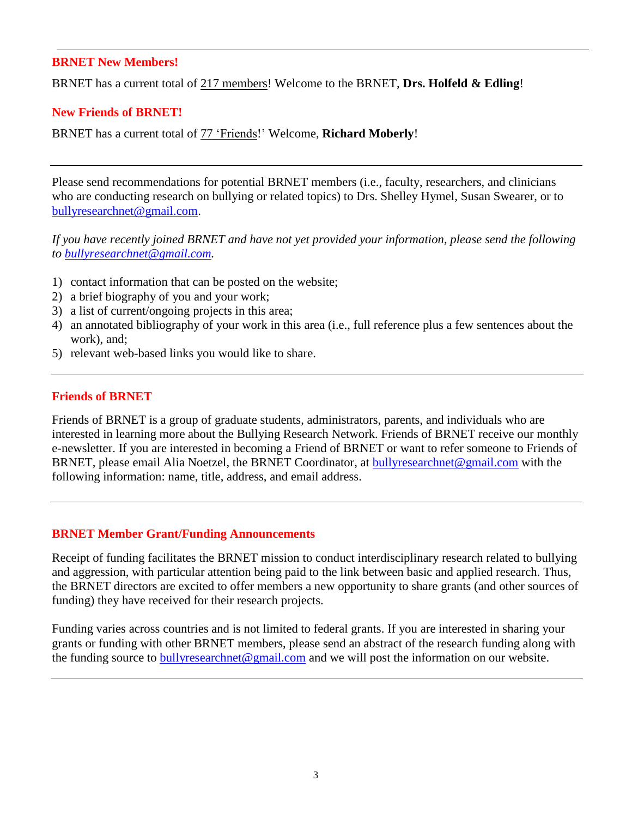#### **BRNET New Members!**

BRNET has a current total of 217 members! Welcome to the BRNET, **Drs. Holfeld & Edling**!

#### **New Friends of BRNET!**

BRNET has a current total of 77 'Friends!' Welcome, **Richard Moberly**!

Please send recommendations for potential BRNET members (i.e., faculty, researchers, and clinicians who are conducting research on bullying or related topics) to Drs. Shelley Hymel, Susan Swearer, or to [bullyresearchnet@gmail.com.](mailto:bullyresearchnet@gmail.com)

*If you have recently joined BRNET and have not yet provided your information, please send the following to [bullyresearchnet@gmail.com.](mailto:bullyresearchnet@gmail.com)*

- 1) contact information that can be posted on the website;
- 2) a brief biography of you and your work;
- 3) a list of current/ongoing projects in this area;
- 4) an annotated bibliography of your work in this area (i.e., full reference plus a few sentences about the work), and;
- 5) relevant web-based links you would like to share.

#### **Friends of BRNET**

Friends of BRNET is a group of graduate students, administrators, parents, and individuals who are interested in learning more about the Bullying Research Network. Friends of BRNET receive our monthly e-newsletter. If you are interested in becoming a Friend of BRNET or want to refer someone to Friends of BRNET, please email Alia Noetzel, the BRNET Coordinator, at [bullyresearchnet@gmail.com](mailto:bullyresearchnet@gmail.com) with the following information: name, title, address, and email address.

#### **BRNET Member Grant/Funding Announcements**

Receipt of funding facilitates the BRNET mission to conduct interdisciplinary research related to bullying and aggression, with particular attention being paid to the link between basic and applied research. Thus, the BRNET directors are excited to offer members a new opportunity to share grants (and other sources of funding) they have received for their research projects.

Funding varies across countries and is not limited to federal grants. If you are interested in sharing your grants or funding with other BRNET members, please send an abstract of the research funding along with the funding source to **bully researchnet** @gmail.com and we will post the information on our website.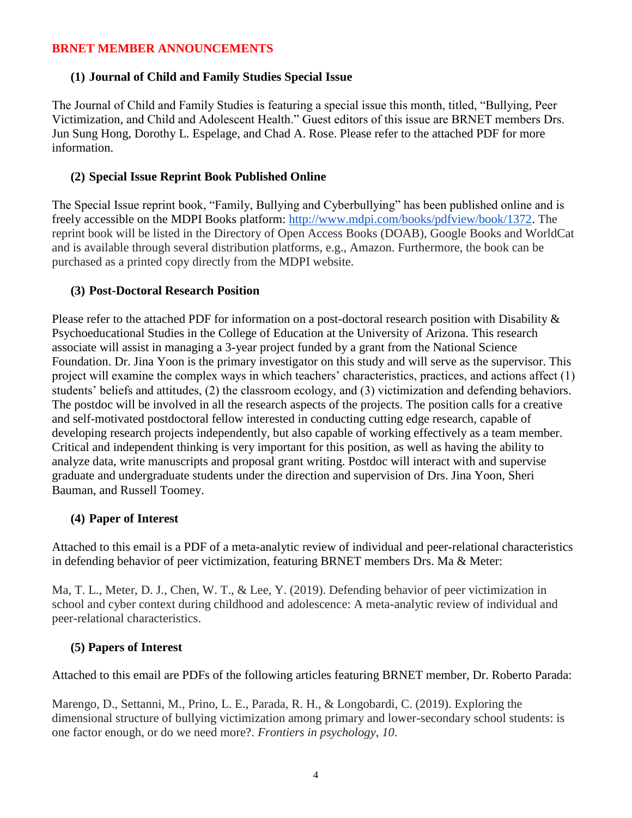#### **BRNET MEMBER ANNOUNCEMENTS**

### **(1) Journal of Child and Family Studies Special Issue**

The Journal of Child and Family Studies is featuring a special issue this month, titled, "Bullying, Peer Victimization, and Child and Adolescent Health." Guest editors of this issue are BRNET members Drs. Jun Sung Hong, Dorothy L. Espelage, and Chad A. Rose. Please refer to the attached PDF for more information.

#### **(2) Special Issue Reprint Book Published Online**

The Special Issue reprint book, "Family, Bullying and Cyberbullying" has been published online and is freely accessible on the MDPI Books platform: [http://www.mdpi.com/books/pdfview/book/1372.](http://www.mdpi.com/books/pdfview/book/1372) The reprint book will be listed in the Directory of Open Access Books (DOAB), Google Books and WorldCat and is available through several distribution platforms, e.g., Amazon. Furthermore, the book can be purchased as a printed copy directly from the MDPI website.

#### **(3) Post-Doctoral Research Position**

Please refer to the attached PDF for information on a post-doctoral research position with Disability & Psychoeducational Studies in the College of Education at the University of Arizona. This research associate will assist in managing a 3-year project funded by a grant from the National Science Foundation. Dr. Jina Yoon is the primary investigator on this study and will serve as the supervisor. This project will examine the complex ways in which teachers' characteristics, practices, and actions affect (1) students' beliefs and attitudes, (2) the classroom ecology, and (3) victimization and defending behaviors. The postdoc will be involved in all the research aspects of the projects. The position calls for a creative and self-motivated postdoctoral fellow interested in conducting cutting edge research, capable of developing research projects independently, but also capable of working effectively as a team member. Critical and independent thinking is very important for this position, as well as having the ability to analyze data, write manuscripts and proposal grant writing. Postdoc will interact with and supervise graduate and undergraduate students under the direction and supervision of Drs. Jina Yoon, Sheri Bauman, and Russell Toomey.

### **(4) Paper of Interest**

Attached to this email is a PDF of a meta-analytic review of individual and peer-relational characteristics in defending behavior of peer victimization, featuring BRNET members Drs. Ma & Meter:

Ma, T. L., Meter, D. J., Chen, W. T., & Lee, Y. (2019). Defending behavior of peer victimization in school and cyber context during childhood and adolescence: A meta-analytic review of individual and peer-relational characteristics.

### **(5) Papers of Interest**

Attached to this email are PDFs of the following articles featuring BRNET member, Dr. Roberto Parada:

Marengo, D., Settanni, M., Prino, L. E., Parada, R. H., & Longobardi, C. (2019). Exploring the dimensional structure of bullying victimization among primary and lower-secondary school students: is one factor enough, or do we need more?. *Frontiers in psychology*, *10*.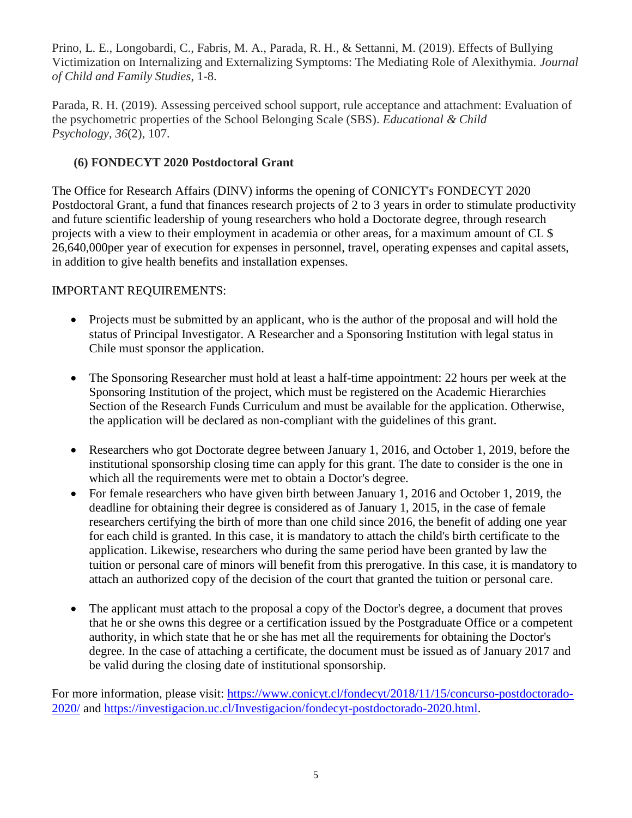Prino, L. E., Longobardi, C., Fabris, M. A., Parada, R. H., & Settanni, M. (2019). Effects of Bullying Victimization on Internalizing and Externalizing Symptoms: The Mediating Role of Alexithymia. *Journal of Child and Family Studies*, 1-8.

Parada, R. H. (2019). Assessing perceived school support, rule acceptance and attachment: Evaluation of the psychometric properties of the School Belonging Scale (SBS). *Educational & Child Psychology*, *36*(2), 107.

## **(6) FONDECYT 2020 Postdoctoral Grant**

The Office for Research Affairs (DINV) informs the opening of CONICYT's FONDECYT 2020 Postdoctoral Grant, a fund that finances research projects of 2 to 3 years in order to stimulate productivity and future scientific leadership of young researchers who hold a Doctorate degree, through research projects with a view to their employment in academia or other areas, for a maximum amount of CL \$ 26,640,000per year of execution for expenses in personnel, travel, operating expenses and capital assets, in addition to give health benefits and installation expenses.

### IMPORTANT REQUIREMENTS:

- Projects must be submitted by an applicant, who is the author of the proposal and will hold the status of Principal Investigator. A Researcher and a Sponsoring Institution with legal status in Chile must sponsor the application.
- The Sponsoring Researcher must hold at least a half-time appointment: 22 hours per week at the Sponsoring Institution of the project, which must be registered on the Academic Hierarchies Section of the Research Funds Curriculum and must be available for the application. Otherwise, the application will be declared as non-compliant with the guidelines of this grant.
- Researchers who got Doctorate degree between January 1, 2016, and October 1, 2019, before the institutional sponsorship closing time can apply for this grant. The date to consider is the one in which all the requirements were met to obtain a Doctor's degree.
- For female researchers who have given birth between January 1, 2016 and October 1, 2019, the deadline for obtaining their degree is considered as of January 1, 2015, in the case of female researchers certifying the birth of more than one child since 2016, the benefit of adding one year for each child is granted. In this case, it is mandatory to attach the child's birth certificate to the application. Likewise, researchers who during the same period have been granted by law the tuition or personal care of minors will benefit from this prerogative. In this case, it is mandatory to attach an authorized copy of the decision of the court that granted the tuition or personal care.
- The applicant must attach to the proposal a copy of the Doctor's degree, a document that proves that he or she owns this degree or a certification issued by the Postgraduate Office or a competent authority, in which state that he or she has met all the requirements for obtaining the Doctor's degree. In the case of attaching a certificate, the document must be issued as of January 2017 and be valid during the closing date of institutional sponsorship.

For more information, please visit: [https://www.conicyt.cl/fondecyt/2018/11/15/concurso-postdoctorado-](https://www.conicyt.cl/fondecyt/2018/11/15/concurso-postdoctorado-2020/)[2020/](https://www.conicyt.cl/fondecyt/2018/11/15/concurso-postdoctorado-2020/) and [https://investigacion.uc.cl/Investigacion/fondecyt-postdoctorado-2020.html.](https://investigacion.uc.cl/Investigacion/fondecyt-postdoctorado-2020.html)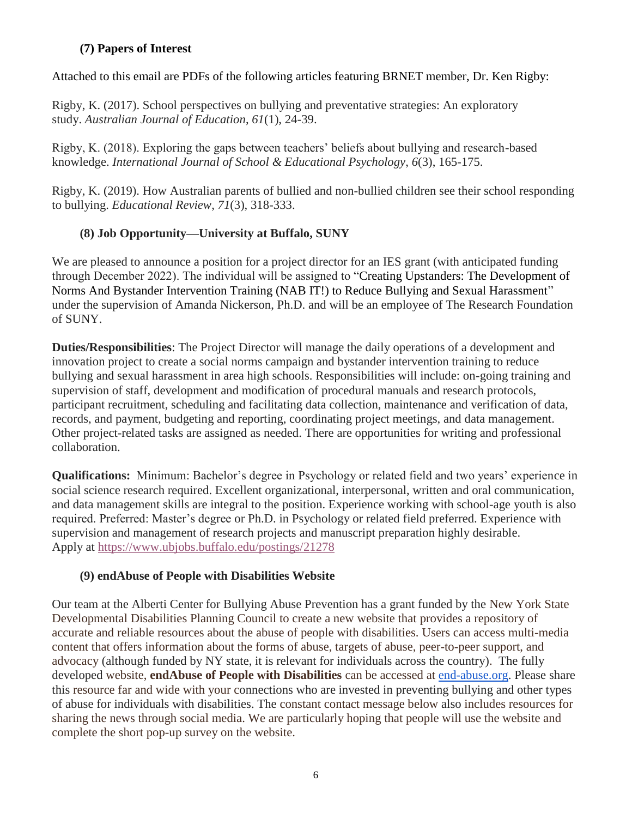## **(7) Papers of Interest**

Attached to this email are PDFs of the following articles featuring BRNET member, Dr. Ken Rigby:

Rigby, K. (2017). School perspectives on bullying and preventative strategies: An exploratory study. *Australian Journal of Education*, *61*(1), 24-39.

Rigby, K. (2018). Exploring the gaps between teachers' beliefs about bullying and research-based knowledge. *International Journal of School & Educational Psychology*, *6*(3), 165-175.

Rigby, K. (2019). How Australian parents of bullied and non-bullied children see their school responding to bullying. *Educational Review*, *71*(3), 318-333.

# **(8) Job Opportunity—University at Buffalo, SUNY**

We are pleased to announce a position for a project director for an IES grant (with anticipated funding through December 2022). The individual will be assigned to "Creating Upstanders: The Development of Norms And Bystander Intervention Training (NAB IT!) to Reduce Bullying and Sexual Harassment" under the supervision of Amanda Nickerson, Ph.D. and will be an employee of The Research Foundation of SUNY.

**Duties/Responsibilities**: The Project Director will manage the daily operations of a development and innovation project to create a social norms campaign and bystander intervention training to reduce bullying and sexual harassment in area high schools. Responsibilities will include: on-going training and supervision of staff, development and modification of procedural manuals and research protocols, participant recruitment, scheduling and facilitating data collection, maintenance and verification of data, records, and payment, budgeting and reporting, coordinating project meetings, and data management. Other project-related tasks are assigned as needed. There are opportunities for writing and professional collaboration.

**Qualifications:** Minimum: Bachelor's degree in Psychology or related field and two years' experience in social science research required. Excellent organizational, interpersonal, written and oral communication, and data management skills are integral to the position. Experience working with school-age youth is also required. Preferred: Master's degree or Ph.D. in Psychology or related field preferred. Experience with supervision and management of research projects and manuscript preparation highly desirable. Apply at [https://www.ubjobs.buffalo.edu/postings/21278](https://urldefense.proofpoint.com/v2/url?u=https-3A__www.ubjobs.buffalo.edu_postings_21278&d=DwMGaQ&c=Cu5g146wZdoqVuKpTNsYHeFX_rg6kWhlkLF8Eft-wwo&r=cXoPjE5bhAYAw7UpUbU1OVNKQBjHq0uZTOrbgqFBDIg&m=XbaAlNUR8eGKircuwrHslSvOtgt8btvbXiU1npa40ek&s=OUy8frTcP2t-prBZSK0Nvawna_HJqF9Tf5wWq1luyb0&e=)

## **(9) endAbuse of People with Disabilities Website**

Our team at the Alberti Center for Bullying Abuse Prevention has a grant funded by the New York State Developmental Disabilities Planning Council to create a new website that provides a repository of accurate and reliable resources about the abuse of people with disabilities. Users can access multi-media content that offers information about the forms of abuse, targets of abuse, peer-to-peer support, and advocacy (although funded by NY state, it is relevant for individuals across the country). The fully developed website, **endAbuse of People with Disabilities** can be accessed at [end-abuse.org.](https://urldefense.proofpoint.com/v2/url?u=http-3A__www.end-2Dabuse.org&d=DwMGaQ&c=Cu5g146wZdoqVuKpTNsYHeFX_rg6kWhlkLF8Eft-wwo&r=cXoPjE5bhAYAw7UpUbU1OVNKQBjHq0uZTOrbgqFBDIg&m=XbaAlNUR8eGKircuwrHslSvOtgt8btvbXiU1npa40ek&s=UfWS1uolDw-ZwOUnMkro1jsp9xsAoI_pT9T5Qdd_VX0&e=) Please share this resource far and wide with your connections who are invested in preventing bullying and other types of abuse for individuals with disabilities. The constant contact message below also includes resources for sharing the news through social media. We are particularly hoping that people will use the website and complete the short pop-up survey on the website.